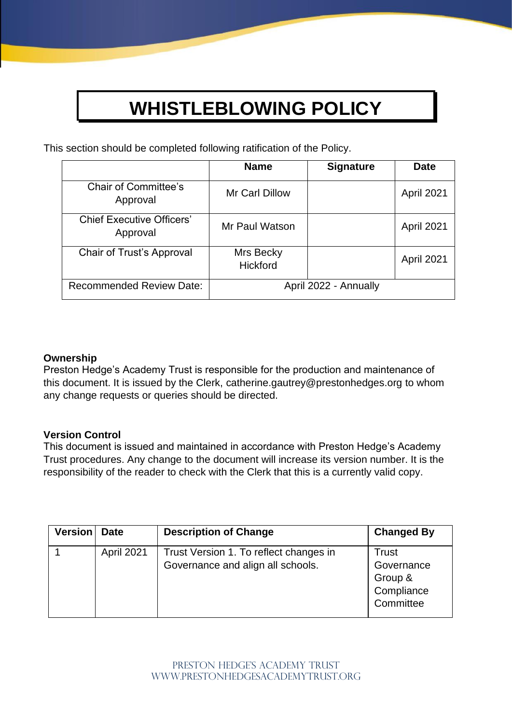# **WHISTLEBLOWING POLICY**

This section should be completed following ratification of the Policy.

|                                              | <b>Name</b>                  | <b>Signature</b> | <b>Date</b> |
|----------------------------------------------|------------------------------|------------------|-------------|
| <b>Chair of Committee's</b><br>Approval      | <b>Mr Carl Dillow</b>        |                  | April 2021  |
| <b>Chief Executive Officers'</b><br>Approval | Mr Paul Watson               |                  | April 2021  |
| Chair of Trust's Approval                    | Mrs Becky<br><b>Hickford</b> |                  | April 2021  |
| <b>Recommended Review Date:</b>              | April 2022 - Annually        |                  |             |

## **Ownership**

Preston Hedge's Academy Trust is responsible for the production and maintenance of this document. It is issued by the Clerk, catherine.gautrey@prestonhedges.org to whom any change requests or queries should be directed.

#### **Version Control**

This document is issued and maintained in accordance with Preston Hedge's Academy Trust procedures. Any change to the document will increase its version number. It is the responsibility of the reader to check with the Clerk that this is a currently valid copy.

| <b>Version</b> | <b>Date</b> | <b>Description of Change</b>                                                | <b>Changed By</b>                                         |
|----------------|-------------|-----------------------------------------------------------------------------|-----------------------------------------------------------|
|                | April 2021  | Trust Version 1. To reflect changes in<br>Governance and align all schools. | Trust<br>Governance<br>Group &<br>Compliance<br>Committee |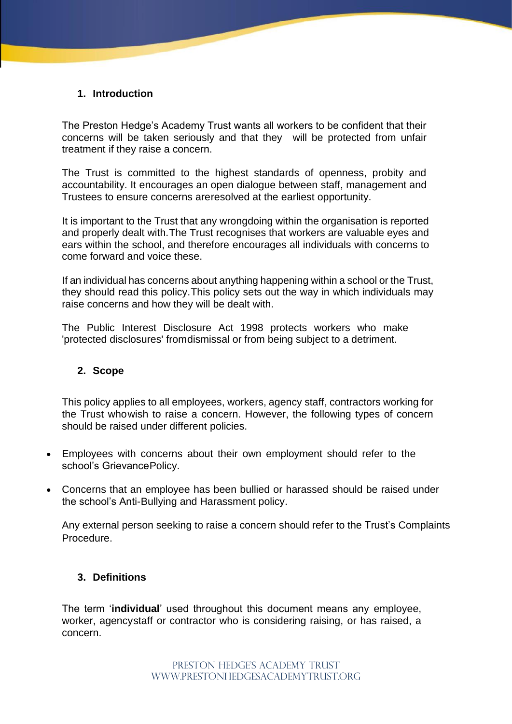## **1. Introduction**

The Preston Hedge's Academy Trust wants all workers to be confident that their concerns will be taken seriously and that they will be protected from unfair treatment if they raise a concern.

The Trust is committed to the highest standards of openness, probity and accountability. It encourages an open dialogue between staff, management and Trustees to ensure concerns areresolved at the earliest opportunity.

It is important to the Trust that any wrongdoing within the organisation is reported and properly dealt with.The Trust recognises that workers are valuable eyes and ears within the school, and therefore encourages all individuals with concerns to come forward and voice these.

If an individual has concerns about anything happening within a school or the Trust, they should read this policy.This policy sets out the way in which individuals may raise concerns and how they will be dealt with.

The Public Interest Disclosure Act 1998 protects workers who make 'protected disclosures' fromdismissal or from being subject to a detriment.

#### **2. Scope**

This policy applies to all employees, workers, agency staff, contractors working for the Trust whowish to raise a concern. However, the following types of concern should be raised under different policies.

- Employees with concerns about their own employment should refer to the school's GrievancePolicy.
- Concerns that an employee has been bullied or harassed should be raised under the school's Anti-Bullying and Harassment policy.

Any external person seeking to raise a concern should refer to the Trust's Complaints Procedure.

#### **3. Definitions**

The term '**individual**' used throughout this document means any employee, worker, agencystaff or contractor who is considering raising, or has raised, a concern.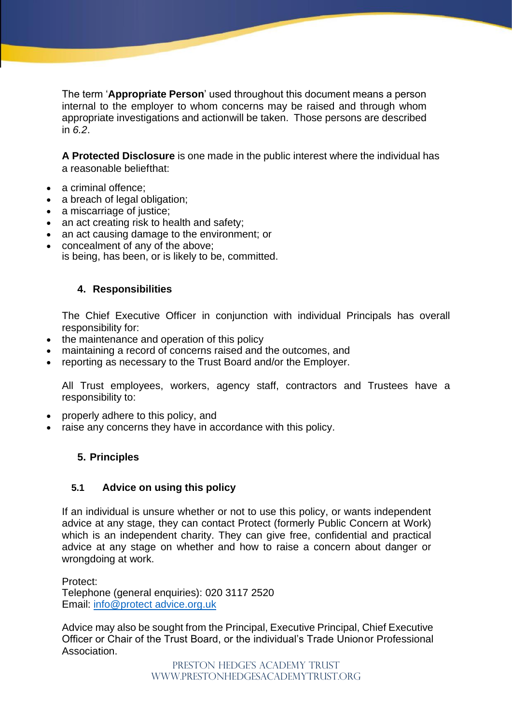The term '**Appropriate Person**' used throughout this document means a person internal to the employer to whom concerns may be raised and through whom appropriate investigations and actionwill be taken. Those persons are described in *6.2*.

**A Protected Disclosure** is one made in the public interest where the individual has a reasonable beliefthat:

- a criminal offence:
- a breach of legal obligation;
- a miscarriage of justice;
- an act creating risk to health and safety;
- an act causing damage to the environment; or
- concealment of any of the above; is being, has been, or is likely to be, committed.

## **4. Responsibilities**

The Chief Executive Officer in conjunction with individual Principals has overall responsibility for:

- the maintenance and operation of this policy
- maintaining a record of concerns raised and the outcomes, and
- reporting as necessary to the Trust Board and/or the Employer.

All Trust employees, workers, agency staff, contractors and Trustees have a responsibility to:

- properly adhere to this policy, and
- raise any concerns they have in accordance with this policy.

# **5. Principles**

#### **5.1 Advice on using this policy**

If an individual is unsure whether or not to use this policy, or wants independent advice at any stage, they can contact Protect (formerly Public Concern at Work) which is an independent charity. They can give free, confidential and practical advice at any stage on whether and how to raise a concern about danger or wrongdoing at work.

Protect: Telephone (general enquiries): 020 3117 2520 Email: [info@protect advice.org.uk](mailto:info@protect-advice.org.uk)

Advice may also be sought from the Principal, Executive Principal, Chief Executive Officer or Chair of the Trust Board, or the individual's Trade Unionor Professional Association.

> PRESTON HEDGE'S ACADEMY TRUST www.prestonhedgesacademytrust.org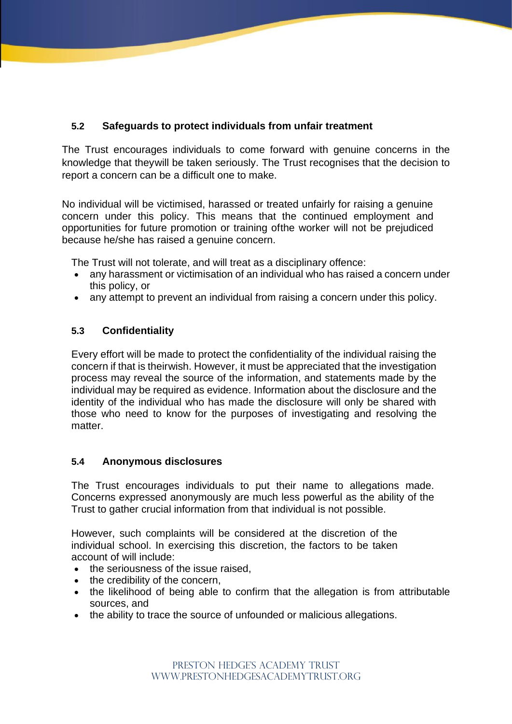# **5.2 Safeguards to protect individuals from unfair treatment**

The Trust encourages individuals to come forward with genuine concerns in the knowledge that theywill be taken seriously. The Trust recognises that the decision to report a concern can be a difficult one to make.

No individual will be victimised, harassed or treated unfairly for raising a genuine concern under this policy. This means that the continued employment and opportunities for future promotion or training ofthe worker will not be prejudiced because he/she has raised a genuine concern.

The Trust will not tolerate, and will treat as a disciplinary offence:

- any harassment or victimisation of an individual who has raised a concern under this policy, or
- any attempt to prevent an individual from raising a concern under this policy.

# **5.3 Confidentiality**

Every effort will be made to protect the confidentiality of the individual raising the concern if that is theirwish. However, it must be appreciated that the investigation process may reveal the source of the information, and statements made by the individual may be required as evidence. Information about the disclosure and the identity of the individual who has made the disclosure will only be shared with those who need to know for the purposes of investigating and resolving the matter.

# **5.4 Anonymous disclosures**

The Trust encourages individuals to put their name to allegations made. Concerns expressed anonymously are much less powerful as the ability of the Trust to gather crucial information from that individual is not possible.

However, such complaints will be considered at the discretion of the individual school. In exercising this discretion, the factors to be taken account of will include:

- the seriousness of the issue raised,
- the credibility of the concern,
- the likelihood of being able to confirm that the allegation is from attributable sources, and
- the ability to trace the source of unfounded or malicious allegations.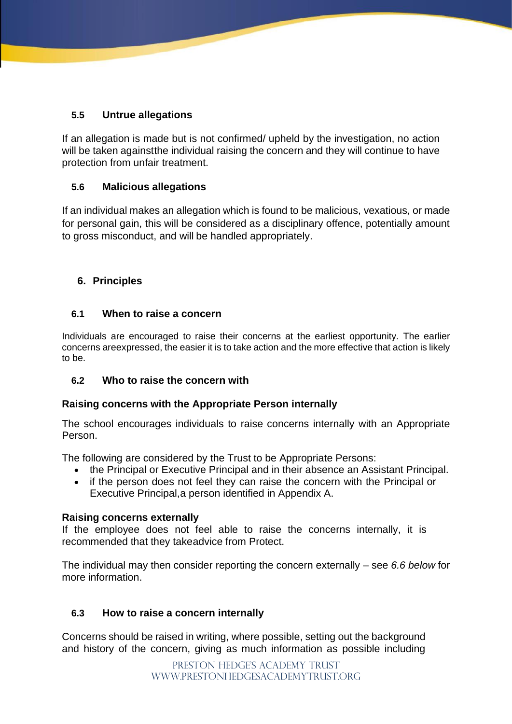# **5.5 Untrue allegations**

If an allegation is made but is not confirmed/ upheld by the investigation, no action will be taken againstthe individual raising the concern and they will continue to have protection from unfair treatment.

# **5.6 Malicious allegations**

If an individual makes an allegation which is found to be malicious, vexatious, or made for personal gain, this will be considered as a disciplinary offence, potentially amount to gross misconduct, and will be handled appropriately.

# **6. Principles**

## **6.1 When to raise a concern**

Individuals are encouraged to raise their concerns at the earliest opportunity. The earlier concerns areexpressed, the easier it is to take action and the more effective that action is likely to be.

# **6.2 Who to raise the concern with**

#### **Raising concerns with the Appropriate Person internally**

The school encourages individuals to raise concerns internally with an Appropriate Person.

The following are considered by the Trust to be Appropriate Persons:

- the Principal or Executive Principal and in their absence an Assistant Principal.
- if the person does not feel they can raise the concern with the Principal or Executive Principal,a person identified in Appendix A.

#### **Raising concerns externally**

If the employee does not feel able to raise the concerns internally, it is recommended that they takeadvice from Protect.

The individual may then consider reporting the concern externally – see *6.6 below* for more information.

# **6.3 How to raise a concern internally**

Concerns should be raised in writing, where possible, setting out the background and history of the concern, giving as much information as possible including

> PRESTON HEDGE'S ACADEMY TRUST www.prestonhedgesacademytrust.org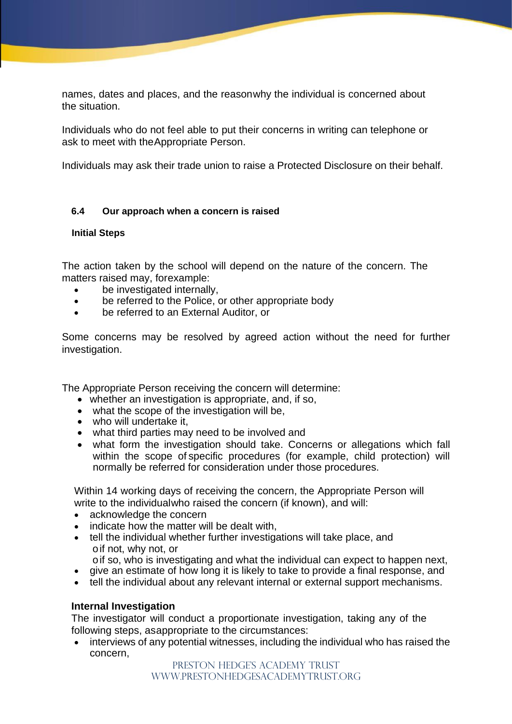names, dates and places, and the reasonwhy the individual is concerned about the situation.

Individuals who do not feel able to put their concerns in writing can telephone or ask to meet with theAppropriate Person.

Individuals may ask their trade union to raise a Protected Disclosure on their behalf.

#### **6.4 Our approach when a concern is raised**

#### **Initial Steps**

The action taken by the school will depend on the nature of the concern. The matters raised may, forexample:

- be investigated internally,
- be referred to the Police, or other appropriate body
- be referred to an External Auditor, or

Some concerns may be resolved by agreed action without the need for further investigation.

The Appropriate Person receiving the concern will determine:

- whether an investigation is appropriate, and, if so,
- what the scope of the investigation will be,
- who will undertake it.
- what third parties may need to be involved and
- what form the investigation should take. Concerns or allegations which fall within the scope of specific procedures (for example, child protection) will normally be referred for consideration under those procedures.

Within 14 working days of receiving the concern, the Appropriate Person will write to the individualwho raised the concern (if known), and will:

- acknowledge the concern
- indicate how the matter will be dealt with.
- tell the individual whether further investigations will take place, and oif not, why not, or
- oif so, who is investigating and what the individual can expect to happen next,
- give an estimate of how long it is likely to take to provide a final response, and
- tell the individual about any relevant internal or external support mechanisms.

#### **Internal Investigation**

The investigator will conduct a proportionate investigation, taking any of the following steps, asappropriate to the circumstances:

• interviews of any potential witnesses, including the individual who has raised the concern,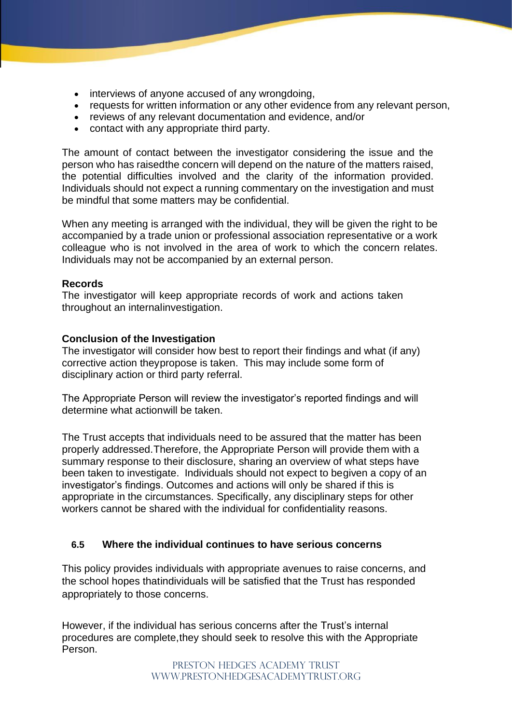- interviews of anyone accused of any wrongdoing,
- requests for written information or any other evidence from any relevant person,
- reviews of any relevant documentation and evidence, and/or
- contact with any appropriate third party.

The amount of contact between the investigator considering the issue and the person who has raisedthe concern will depend on the nature of the matters raised, the potential difficulties involved and the clarity of the information provided. Individuals should not expect a running commentary on the investigation and must be mindful that some matters may be confidential.

When any meeting is arranged with the individual, they will be given the right to be accompanied by a trade union or professional association representative or a work colleague who is not involved in the area of work to which the concern relates. Individuals may not be accompanied by an external person.

#### **Records**

The investigator will keep appropriate records of work and actions taken throughout an internalinvestigation.

#### **Conclusion of the Investigation**

The investigator will consider how best to report their findings and what (if any) corrective action theypropose is taken. This may include some form of disciplinary action or third party referral.

The Appropriate Person will review the investigator's reported findings and will determine what actionwill be taken.

The Trust accepts that individuals need to be assured that the matter has been properly addressed.Therefore, the Appropriate Person will provide them with a summary response to their disclosure, sharing an overview of what steps have been taken to investigate. Individuals should not expect to begiven a copy of an investigator's findings. Outcomes and actions will only be shared if this is appropriate in the circumstances. Specifically, any disciplinary steps for other workers cannot be shared with the individual for confidentiality reasons.

#### **6.5 Where the individual continues to have serious concerns**

This policy provides individuals with appropriate avenues to raise concerns, and the school hopes thatindividuals will be satisfied that the Trust has responded appropriately to those concerns.

However, if the individual has serious concerns after the Trust's internal procedures are complete,they should seek to resolve this with the Appropriate Person.

> PRESTON HEDGE'S ACADEMY TRUST www.prestonhedgesacademytrust.org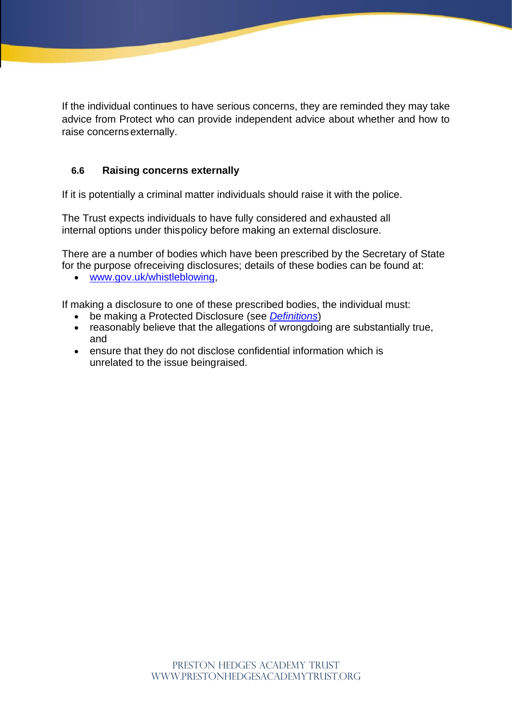If the individual continues to have serious concerns, they are reminded they may take advice from Protect who can provide independent advice about whether and how to raise concerns externally.

# **6.6 Raising concerns externally**

If it is potentially a criminal matter individuals should raise it with the police.

The Trust expects individuals to have fully considered and exhausted all internal options under this policy before making an external disclosure.

There are a number of bodies which have been prescribed by the Secretary of State for the purpose ofreceiving disclosures; details of these bodies can be found at:

• [www.gov.uk/whistleblowing,](http://www.gov.uk/whistleblowing)

If making a disclosure to one of these prescribed bodies, the individual must:

- be making a Protected Disclosure (see *Definitions*)
- reasonably believe that the allegations of wrongdoing are substantially true, and
- ensure that they do not disclose confidential information which is unrelated to the issue beingraised.